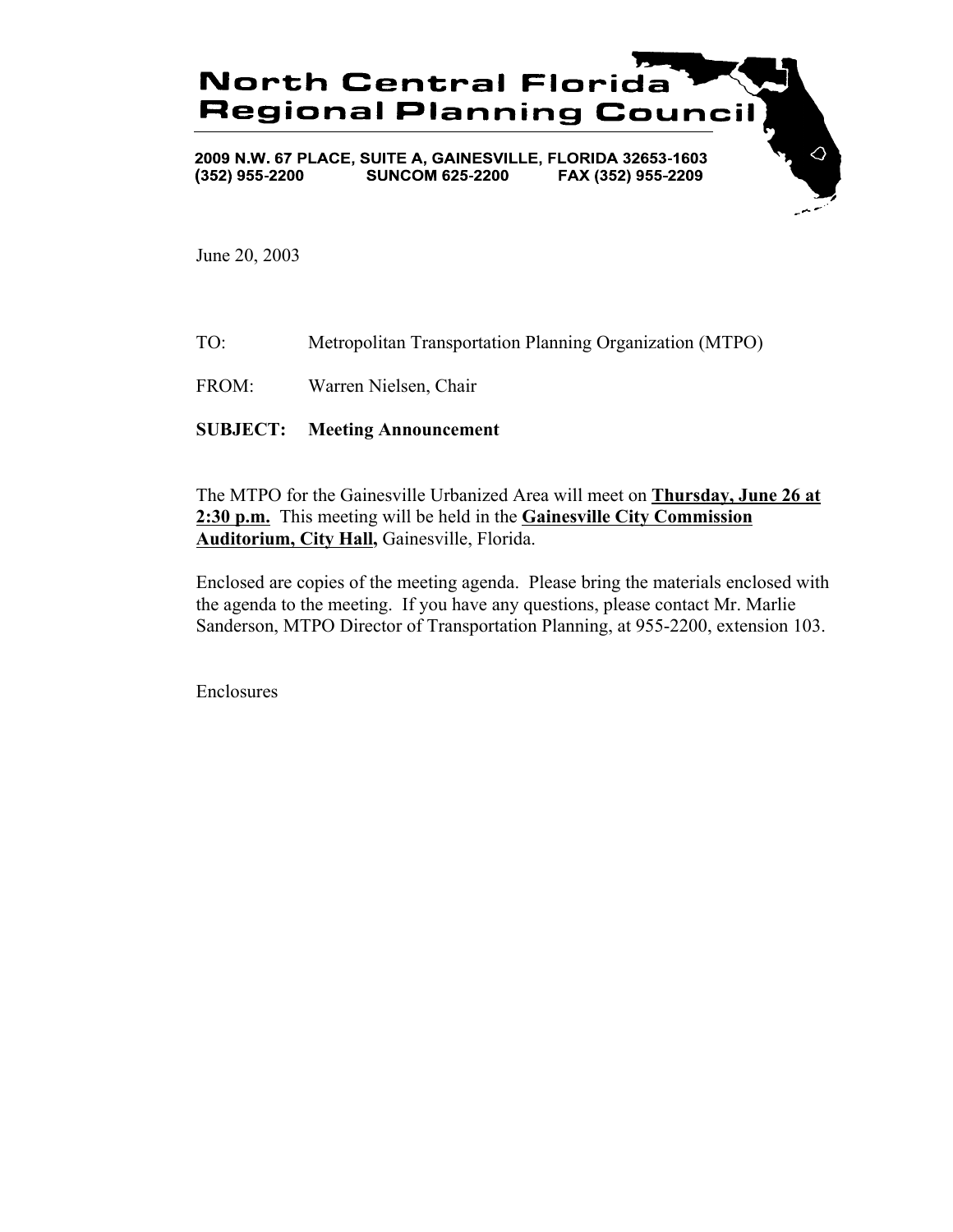

June 20, 2003

- TO: Metropolitan Transportation Planning Organization (MTPO)
- FROM: Warren Nielsen, Chair

## **SUBJECT: Meeting Announcement**

The MTPO for the Gainesville Urbanized Area will meet on **Thursday, June 26 at 2:30 p.m.** This meeting will be held in the **Gainesville City Commission Auditorium, City Hall,** Gainesville, Florida.

Enclosed are copies of the meeting agenda. Please bring the materials enclosed with the agenda to the meeting. If you have any questions, please contact Mr. Marlie Sanderson, MTPO Director of Transportation Planning, at 955-2200, extension 103.

Enclosures